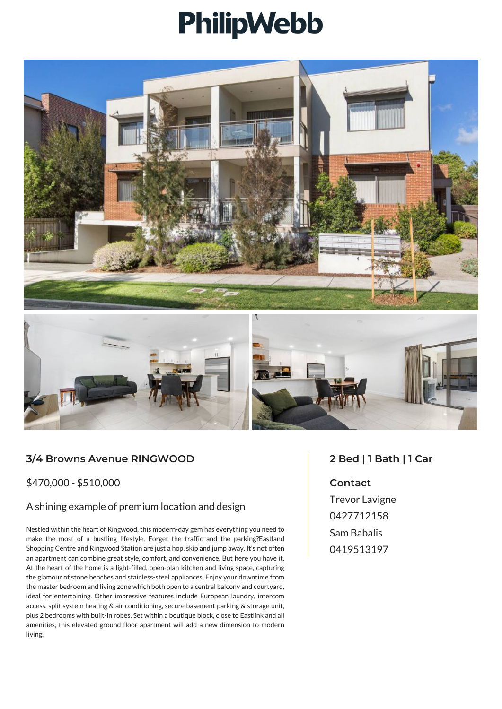# PhilipWebb





## **3/4 Browns Avenue RINGWOOD**

#### \$470,000 - \$510,000

#### A shining example of premium location and design

Nestled within the heart of Ringwood, this modern-day gem has everything you need to make the most of a bustling lifestyle. Forget the traffic and the parking?Eastland Shopping Centre and Ringwood Station are just a hop, skip and jump away. It's not often an apartment can combine great style, comfort, and convenience. But here you have it. At the heart of the home is a light-filled, open-plan kitchen and living space, capturing the glamour of stone benches and stainless-steel appliances. Enjoy your downtime from the master bedroom and living zone which both open to a central balcony and courtyard, ideal for entertaining. Other impressive features include European laundry, intercom access, split system heating & air conditioning, secure basement parking & storage unit, plus 2 bedrooms with built-in robes. Set within a boutique block, close to Eastlink and all amenities, this elevated ground floor apartment will add a new dimension to modern living.

### **2 Bed | 1 Bath | 1 Car**

#### **Contact**

Trevor Lavigne 0427712158 Sam Babalis 0419513197